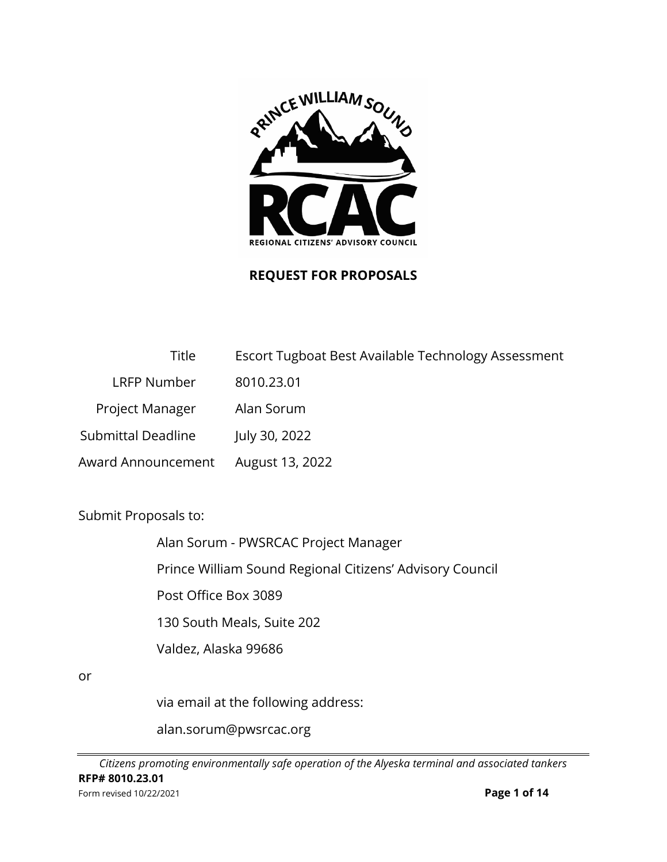

## **REQUEST FOR PROPOSALS**

| Title                     | Escort Tugboat Best Available Technology Assessment |
|---------------------------|-----------------------------------------------------|
| LRFP Number               | 8010.23.01                                          |
| Project Manager           | Alan Sorum                                          |
| <b>Submittal Deadline</b> | July 30, 2022                                       |
| Award Announcement        | August 13, 2022                                     |

Submit Proposals to:

Alan Sorum - PWSRCAC Project Manager

Prince William Sound Regional Citizens' Advisory Council

Post Office Box 3089

130 South Meals, Suite 202

Valdez, Alaska 99686

or

via email at the following address:

alan.sorum@pwsrcac.org

*Citizens promoting environmentally safe operation of the Alyeska terminal and associated tankers* **RFP# 8010.23.01** Form revised 10/22/2021 **Page 1 of 14**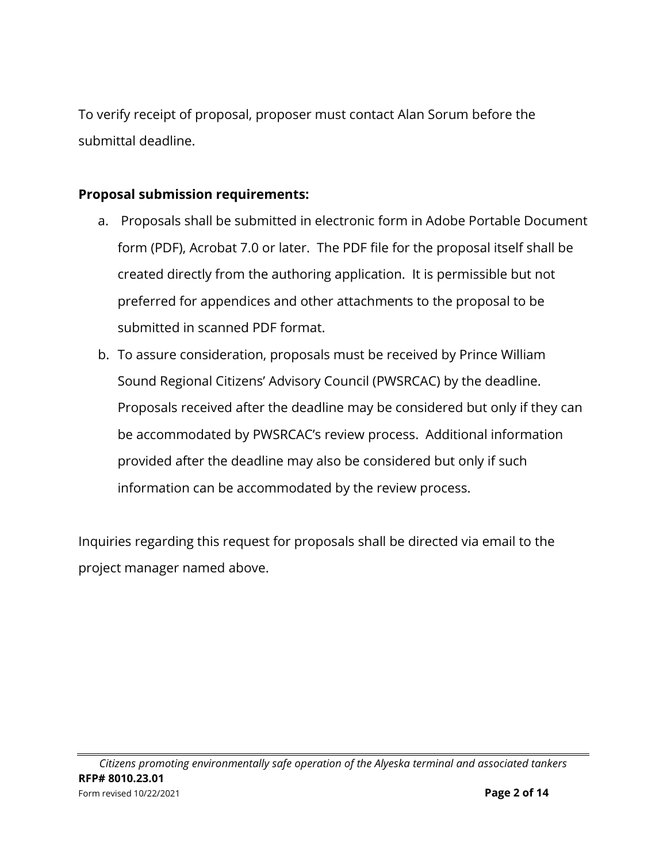To verify receipt of proposal, proposer must contact Alan Sorum before the submittal deadline.

## **Proposal submission requirements:**

- a. Proposals shall be submitted in electronic form in Adobe Portable Document form (PDF), Acrobat 7.0 or later. The PDF file for the proposal itself shall be created directly from the authoring application. It is permissible but not preferred for appendices and other attachments to the proposal to be submitted in scanned PDF format.
- b. To assure consideration, proposals must be received by Prince William Sound Regional Citizens' Advisory Council (PWSRCAC) by the deadline. Proposals received after the deadline may be considered but only if they can be accommodated by PWSRCAC's review process. Additional information provided after the deadline may also be considered but only if such information can be accommodated by the review process.

Inquiries regarding this request for proposals shall be directed via email to the project manager named above.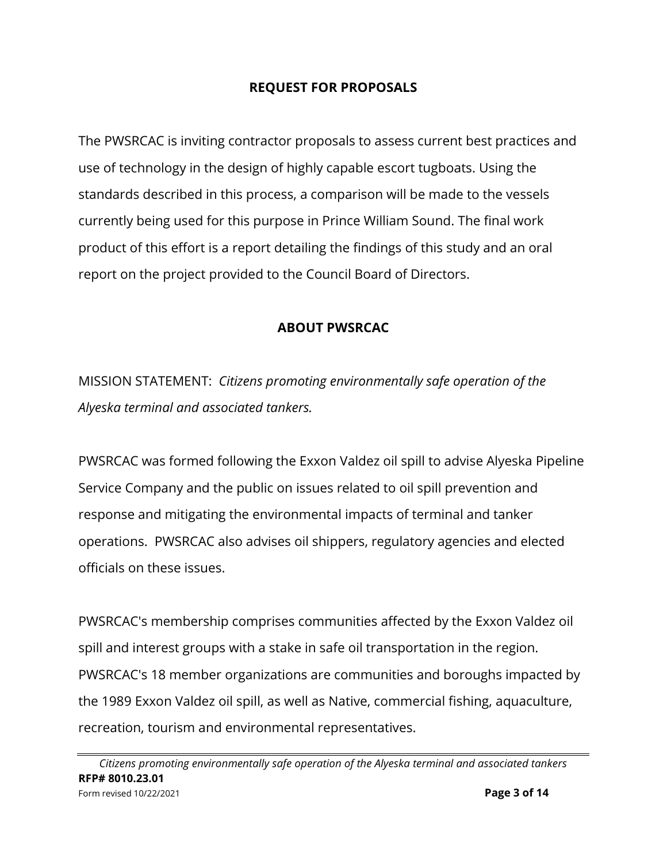#### **REQUEST FOR PROPOSALS**

The PWSRCAC is inviting contractor proposals to assess current best practices and use of technology in the design of highly capable escort tugboats. Using the standards described in this process, a comparison will be made to the vessels currently being used for this purpose in Prince William Sound. The final work product of this effort is a report detailing the findings of this study and an oral report on the project provided to the Council Board of Directors.

#### **ABOUT PWSRCAC**

MISSION STATEMENT: *Citizens promoting environmentally safe operation of the Alyeska terminal and associated tankers.*

PWSRCAC was formed following the Exxon Valdez oil spill to advise Alyeska Pipeline Service Company and the public on issues related to oil spill prevention and response and mitigating the environmental impacts of terminal and tanker operations. PWSRCAC also advises oil shippers, regulatory agencies and elected officials on these issues.

PWSRCAC's membership comprises communities affected by the Exxon Valdez oil spill and interest groups with a stake in safe oil transportation in the region. PWSRCAC's 18 member organizations are communities and boroughs impacted by the 1989 Exxon Valdez oil spill, as well as Native, commercial fishing, aquaculture, recreation, tourism and environmental representatives.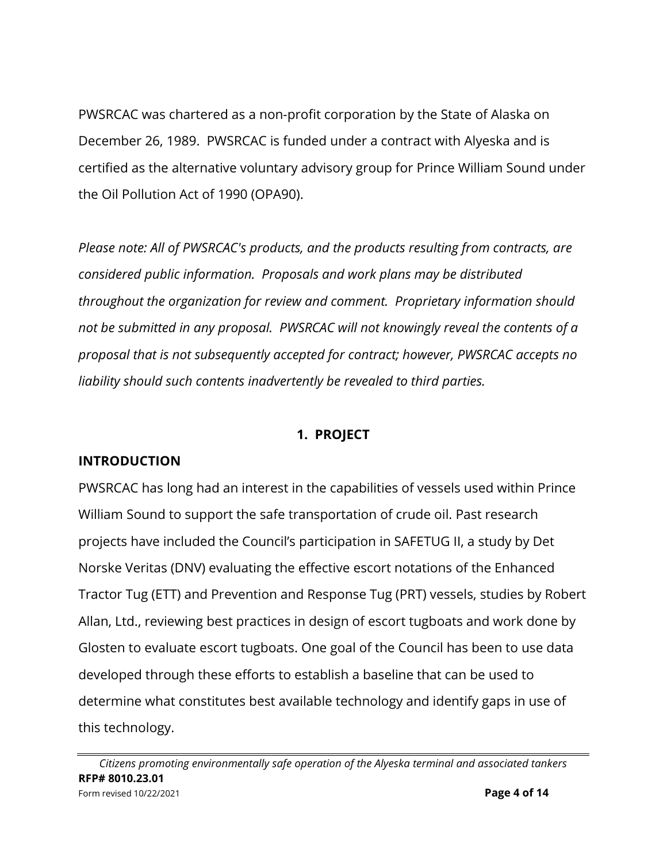PWSRCAC was chartered as a non-profit corporation by the State of Alaska on December 26, 1989. PWSRCAC is funded under a contract with Alyeska and is certified as the alternative voluntary advisory group for Prince William Sound under the Oil Pollution Act of 1990 (OPA90).

*Please note: All of PWSRCAC's products, and the products resulting from contracts, are considered public information. Proposals and work plans may be distributed throughout the organization for review and comment. Proprietary information should not be submitted in any proposal. PWSRCAC will not knowingly reveal the contents of a proposal that is not subsequently accepted for contract; however, PWSRCAC accepts no liability should such contents inadvertently be revealed to third parties.* 

#### **1. PROJECT**

#### **INTRODUCTION**

PWSRCAC has long had an interest in the capabilities of vessels used within Prince William Sound to support the safe transportation of crude oil. Past research projects have included the Council's participation in SAFETUG II, a study by Det Norske Veritas (DNV) evaluating the effective escort notations of the Enhanced Tractor Tug (ETT) and Prevention and Response Tug (PRT) vessels, studies by Robert Allan, Ltd., reviewing best practices in design of escort tugboats and work done by Glosten to evaluate escort tugboats. One goal of the Council has been to use data developed through these efforts to establish a baseline that can be used to determine what constitutes best available technology and identify gaps in use of this technology.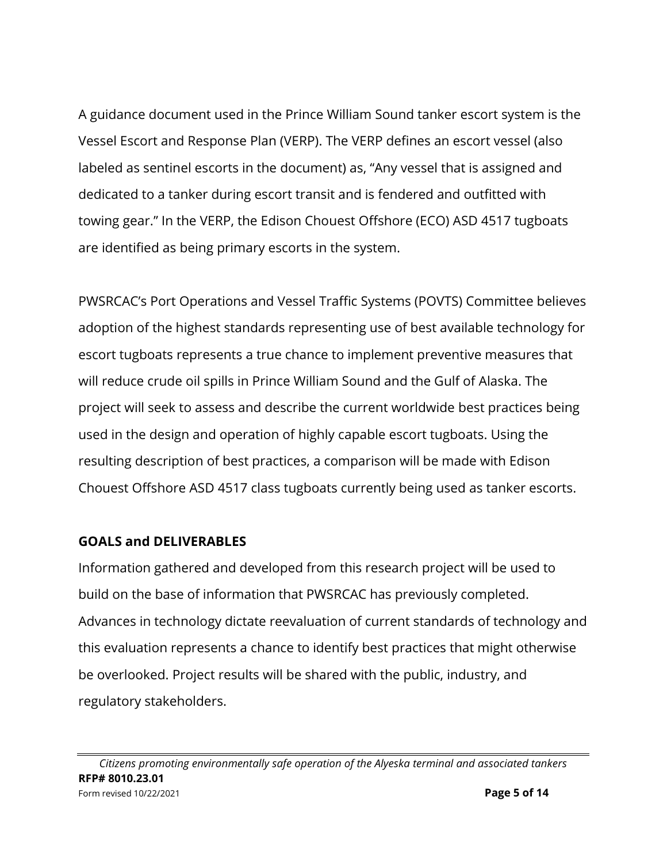A guidance document used in the Prince William Sound tanker escort system is the Vessel Escort and Response Plan (VERP). The VERP defines an escort vessel (also labeled as sentinel escorts in the document) as, "Any vessel that is assigned and dedicated to a tanker during escort transit and is fendered and outfitted with towing gear." In the VERP, the Edison Chouest Offshore (ECO) ASD 4517 tugboats are identified as being primary escorts in the system.

PWSRCAC's Port Operations and Vessel Traffic Systems (POVTS) Committee believes adoption of the highest standards representing use of best available technology for escort tugboats represents a true chance to implement preventive measures that will reduce crude oil spills in Prince William Sound and the Gulf of Alaska. The project will seek to assess and describe the current worldwide best practices being used in the design and operation of highly capable escort tugboats. Using the resulting description of best practices, a comparison will be made with Edison Chouest Offshore ASD 4517 class tugboats currently being used as tanker escorts.

#### **GOALS and DELIVERABLES**

Information gathered and developed from this research project will be used to build on the base of information that PWSRCAC has previously completed. Advances in technology dictate reevaluation of current standards of technology and this evaluation represents a chance to identify best practices that might otherwise be overlooked. Project results will be shared with the public, industry, and regulatory stakeholders.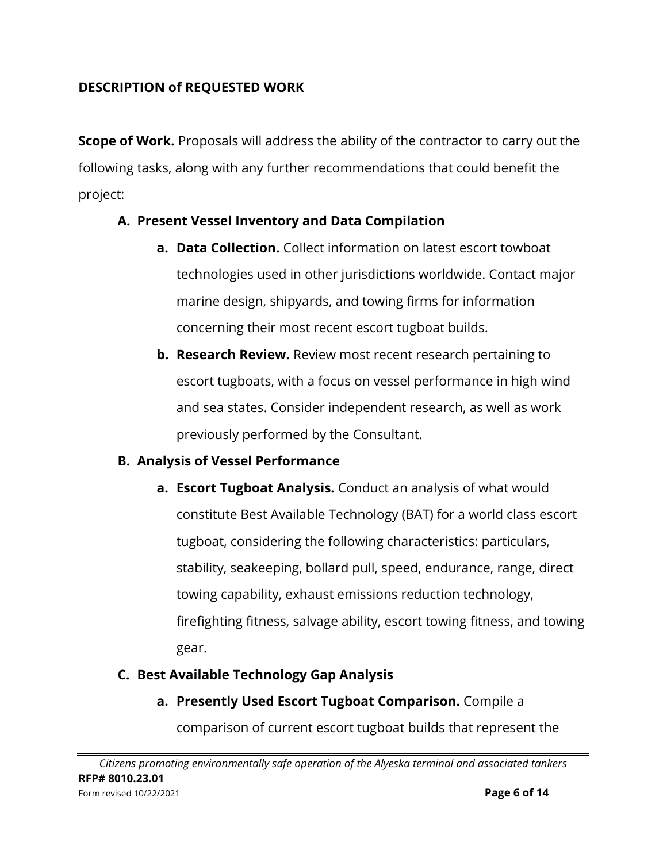## **DESCRIPTION of REQUESTED WORK**

**Scope of Work.** Proposals will address the ability of the contractor to carry out the following tasks, along with any further recommendations that could benefit the project:

## **A. Present Vessel Inventory and Data Compilation**

- **a. Data Collection.** Collect information on latest escort towboat technologies used in other jurisdictions worldwide. Contact major marine design, shipyards, and towing firms for information concerning their most recent escort tugboat builds.
- **b. Research Review.** Review most recent research pertaining to escort tugboats, with a focus on vessel performance in high wind and sea states. Consider independent research, as well as work previously performed by the Consultant.

#### **B. Analysis of Vessel Performance**

**a. Escort Tugboat Analysis.** Conduct an analysis of what would constitute Best Available Technology (BAT) for a world class escort tugboat, considering the following characteristics: particulars, stability, seakeeping, bollard pull, speed, endurance, range, direct towing capability, exhaust emissions reduction technology, firefighting fitness, salvage ability, escort towing fitness, and towing gear.

# **C. Best Available Technology Gap Analysis**

**a. Presently Used Escort Tugboat Comparison.** Compile a

comparison of current escort tugboat builds that represent the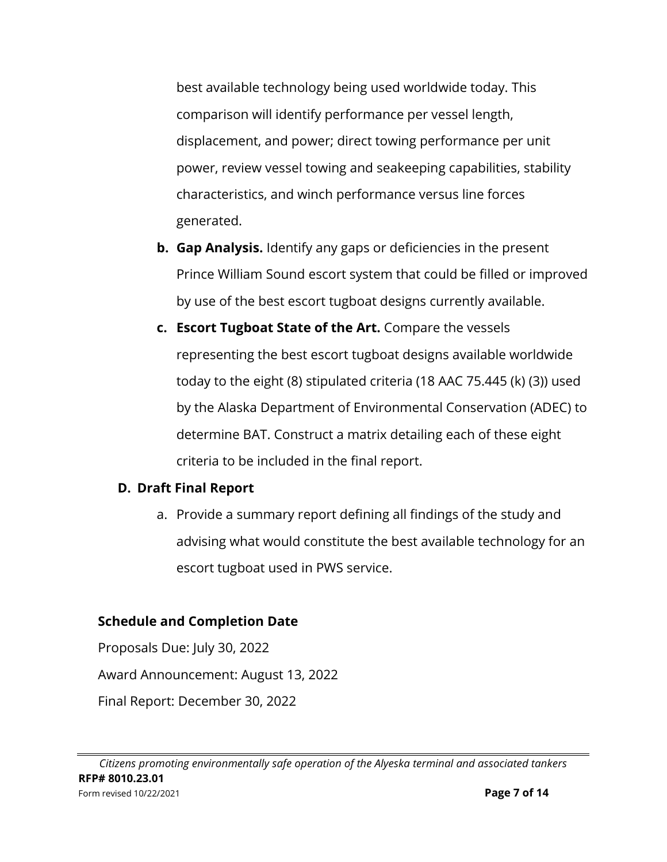best available technology being used worldwide today. This comparison will identify performance per vessel length, displacement, and power; direct towing performance per unit power, review vessel towing and seakeeping capabilities, stability characteristics, and winch performance versus line forces generated.

- **b. Gap Analysis.** Identify any gaps or deficiencies in the present Prince William Sound escort system that could be filled or improved by use of the best escort tugboat designs currently available.
- **c. Escort Tugboat State of the Art.** Compare the vessels representing the best escort tugboat designs available worldwide today to the eight (8) stipulated criteria (18 AAC 75.445 (k) (3)) used by the Alaska Department of Environmental Conservation (ADEC) to determine BAT. Construct a matrix detailing each of these eight criteria to be included in the final report.

# **D. Draft Final Report**

a. Provide a summary report defining all findings of the study and advising what would constitute the best available technology for an escort tugboat used in PWS service.

# **Schedule and Completion Date**

Proposals Due: July 30, 2022 Award Announcement: August 13, 2022 Final Report: December 30, 2022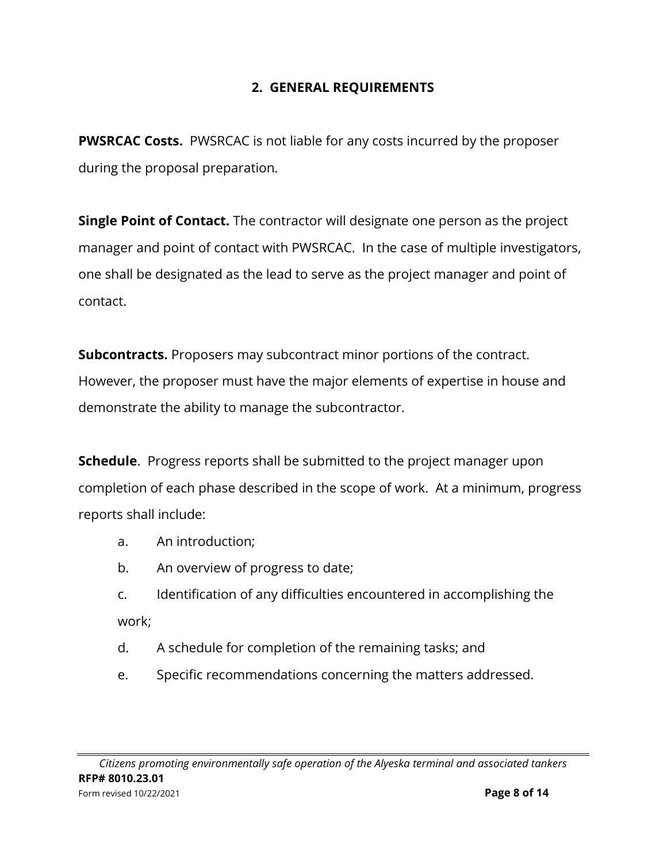# **2. GENERAL REQUIREMENTS**

**PWSRCAC Costs.** PWSRCAC is not liable for any costs incurred by the proposer during the proposal preparation.

**Single Point of Contact.** The contractor will designate one person as the project manager and point of contact with PWSRCAC. In the case of multiple investigators, one shall be designated as the lead to serve as the project manager and point of contact.

**Subcontracts.** Proposers may subcontract minor portions of the contract. However, the proposer must have the major elements of expertise in house and demonstrate the ability to manage the subcontractor.

**Schedule**. Progress reports shall be submitted to the project manager upon completion of each phase described in the scope of work. At a minimum, progress reports shall include:

- a. An introduction;
- b. An overview of progress to date;

c. Identification of any difficulties encountered in accomplishing the work;

- d. A schedule for completion of the remaining tasks; and
- e. Specific recommendations concerning the matters addressed.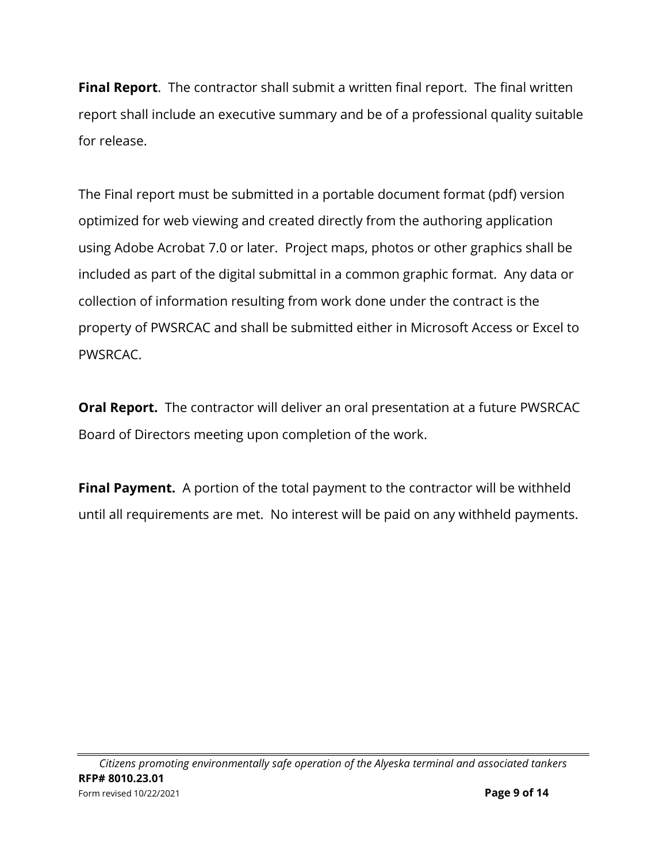**Final Report**. The contractor shall submit a written final report. The final written report shall include an executive summary and be of a professional quality suitable for release.

The Final report must be submitted in a portable document format (pdf) version optimized for web viewing and created directly from the authoring application using Adobe Acrobat 7.0 or later. Project maps, photos or other graphics shall be included as part of the digital submittal in a common graphic format. Any data or collection of information resulting from work done under the contract is the property of PWSRCAC and shall be submitted either in Microsoft Access or Excel to PWSRCAC.

**Oral Report.** The contractor will deliver an oral presentation at a future PWSRCAC Board of Directors meeting upon completion of the work.

**Final Payment.** A portion of the total payment to the contractor will be withheld until all requirements are met. No interest will be paid on any withheld payments.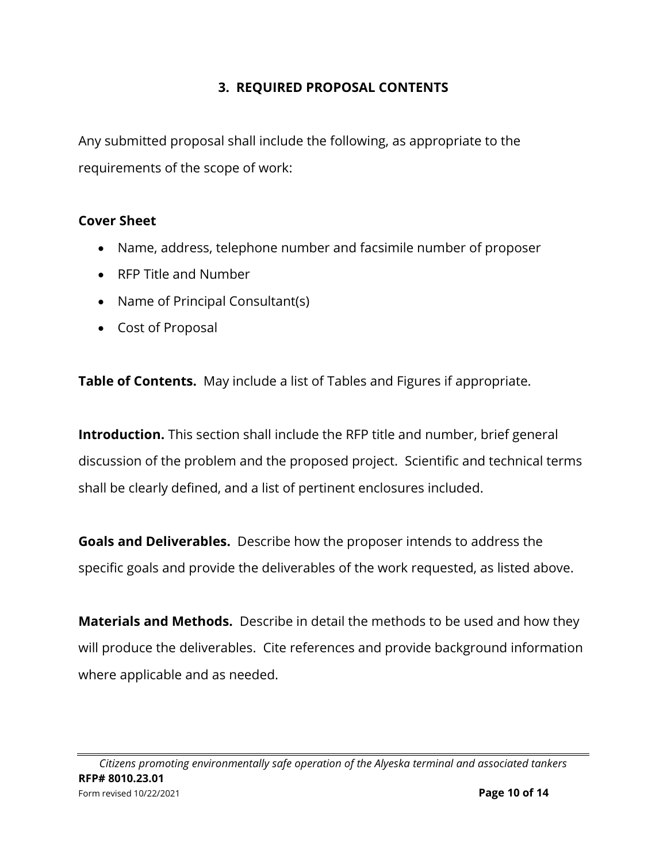## **3. REQUIRED PROPOSAL CONTENTS**

Any submitted proposal shall include the following, as appropriate to the requirements of the scope of work:

#### **Cover Sheet**

- Name, address, telephone number and facsimile number of proposer
- RFP Title and Number
- Name of Principal Consultant(s)
- Cost of Proposal

**Table of Contents.** May include a list of Tables and Figures if appropriate.

**Introduction.** This section shall include the RFP title and number, brief general discussion of the problem and the proposed project. Scientific and technical terms shall be clearly defined, and a list of pertinent enclosures included.

**Goals and Deliverables.** Describe how the proposer intends to address the specific goals and provide the deliverables of the work requested, as listed above.

**Materials and Methods.** Describe in detail the methods to be used and how they will produce the deliverables. Cite references and provide background information where applicable and as needed.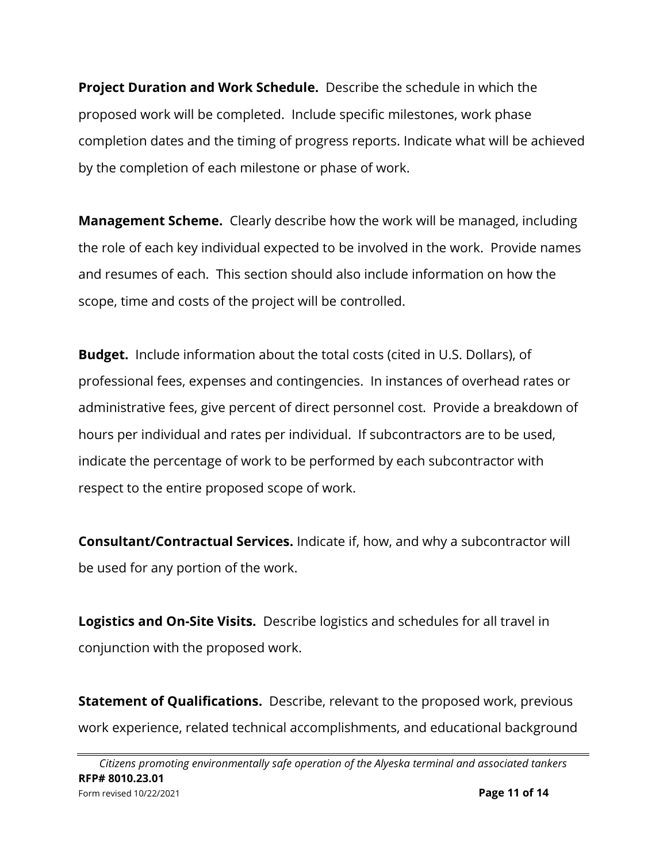**Project Duration and Work Schedule.** Describe the schedule in which the proposed work will be completed. Include specific milestones, work phase completion dates and the timing of progress reports. Indicate what will be achieved by the completion of each milestone or phase of work.

**Management Scheme.** Clearly describe how the work will be managed, including the role of each key individual expected to be involved in the work. Provide names and resumes of each. This section should also include information on how the scope, time and costs of the project will be controlled.

**Budget.** Include information about the total costs (cited in U.S. Dollars), of professional fees, expenses and contingencies. In instances of overhead rates or administrative fees, give percent of direct personnel cost. Provide a breakdown of hours per individual and rates per individual. If subcontractors are to be used, indicate the percentage of work to be performed by each subcontractor with respect to the entire proposed scope of work.

**Consultant/Contractual Services.** Indicate if, how, and why a subcontractor will be used for any portion of the work.

**Logistics and On-Site Visits.** Describe logistics and schedules for all travel in conjunction with the proposed work.

**Statement of Qualifications.** Describe, relevant to the proposed work, previous work experience, related technical accomplishments, and educational background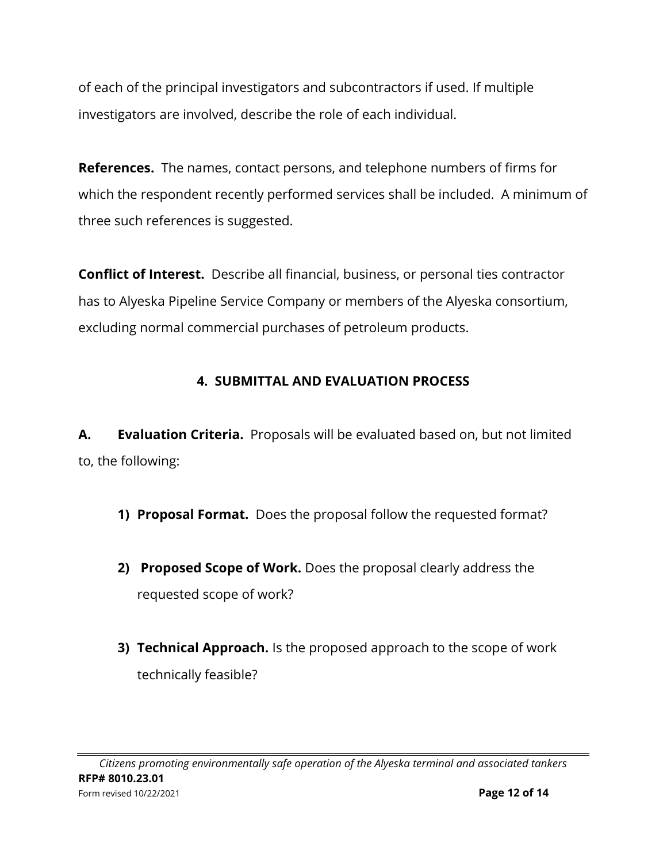of each of the principal investigators and subcontractors if used. If multiple investigators are involved, describe the role of each individual.

**References.** The names, contact persons, and telephone numbers of firms for which the respondent recently performed services shall be included. A minimum of three such references is suggested.

**Conflict of Interest.** Describe all financial, business, or personal ties contractor has to Alyeska Pipeline Service Company or members of the Alyeska consortium, excluding normal commercial purchases of petroleum products.

# **4. SUBMITTAL AND EVALUATION PROCESS**

**A. Evaluation Criteria.** Proposals will be evaluated based on, but not limited to, the following:

- **1) Proposal Format.** Does the proposal follow the requested format?
- **2) Proposed Scope of Work.** Does the proposal clearly address the requested scope of work?
- **3) Technical Approach.** Is the proposed approach to the scope of work technically feasible?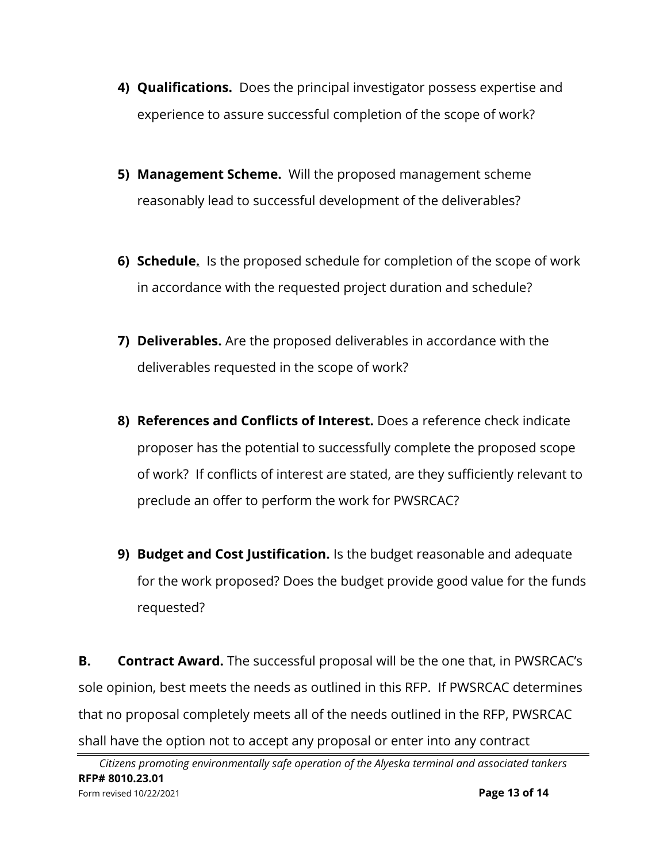- **4) Qualifications.** Does the principal investigator possess expertise and experience to assure successful completion of the scope of work?
- **5) Management Scheme.** Will the proposed management scheme reasonably lead to successful development of the deliverables?
- **6) Schedule.** Is the proposed schedule for completion of the scope of work in accordance with the requested project duration and schedule?
- **7) Deliverables.** Are the proposed deliverables in accordance with the deliverables requested in the scope of work?
- **8) References and Conflicts of Interest.** Does a reference check indicate proposer has the potential to successfully complete the proposed scope of work? If conflicts of interest are stated, are they sufficiently relevant to preclude an offer to perform the work for PWSRCAC?
- **9) Budget and Cost Justification.** Is the budget reasonable and adequate for the work proposed? Does the budget provide good value for the funds requested?

**B. Contract Award.** The successful proposal will be the one that, in PWSRCAC's sole opinion, best meets the needs as outlined in this RFP. If PWSRCAC determines that no proposal completely meets all of the needs outlined in the RFP, PWSRCAC shall have the option not to accept any proposal or enter into any contract